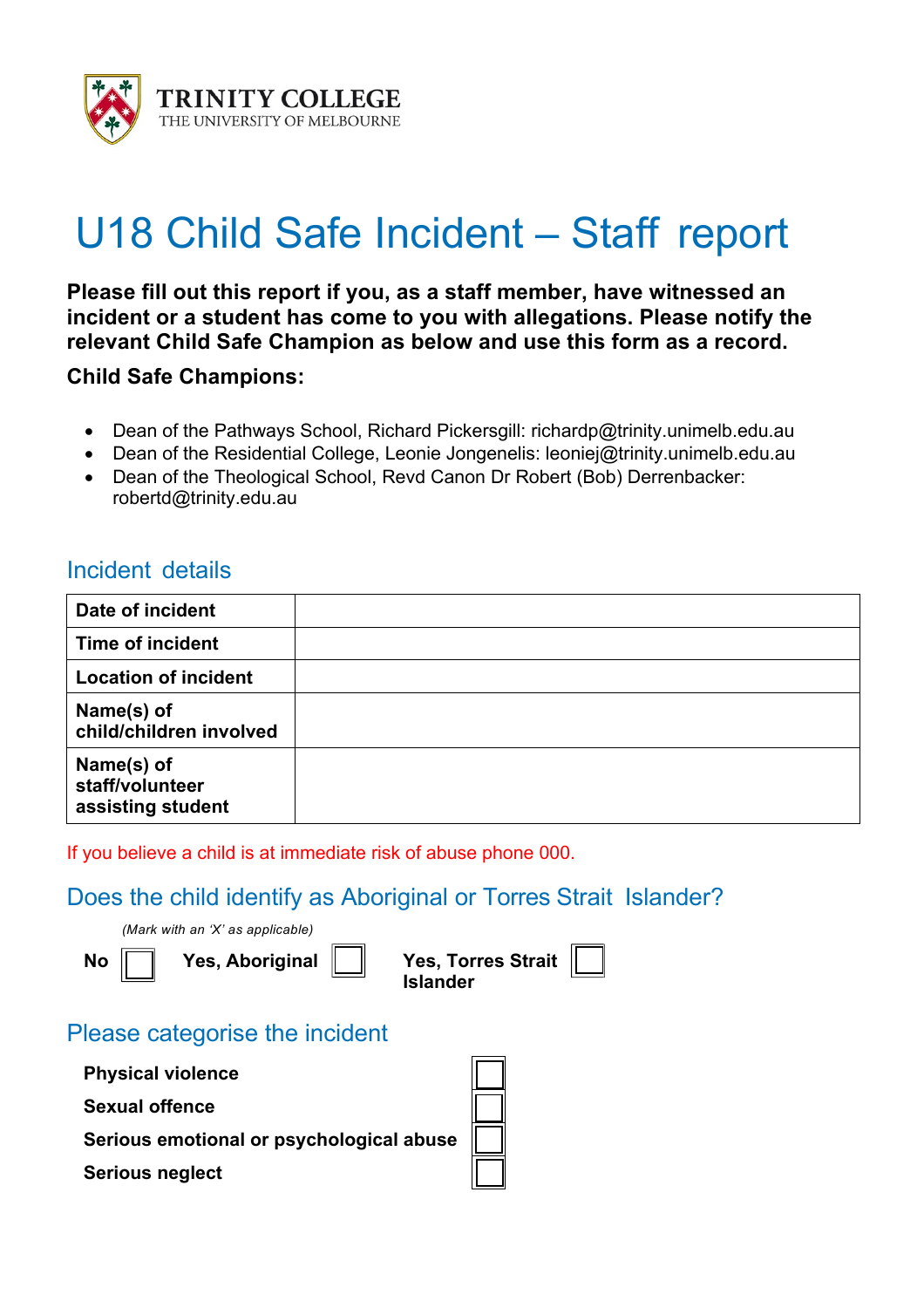

# U18 Child Safe Incident – Staff report

**Please fill out this report if you, as a staff member, have witnessed an incident or a student has come to you with allegations. Please notify the relevant Child Safe Champion as below and use this form as a record.**

**Child Safe Champions:**

- Dean of the Pathways School, Richard Pickersgill: richardp@trinity.unimelb.edu.au
- Dean of the Residential College, Leonie Jongenelis: leoniej@trinity.unimelb.edu.au
- Dean of the Theological School, Revd Canon Dr Robert (Bob) Derrenbacker: robertd@trinity.edu.au

## Incident details

| Date of incident                                   |  |
|----------------------------------------------------|--|
| <b>Time of incident</b>                            |  |
| <b>Location of incident</b>                        |  |
| Name(s) of<br>child/children involved              |  |
| Name(s) of<br>staff/volunteer<br>assisting student |  |

If you believe a child is at immediate risk of abuse phone 000.

#### Does the child identify as Aboriginal or Torres Strait Islander?

*(Mark with an 'X' as applicable)*

**No Yes, Aboriginal Yes, Torres Strait Islander**

### Please categorise the incident

- **Physical violence**
- **Sexual offence**
- **Serious emotional or psychological abuse**
- **Serious neglect**